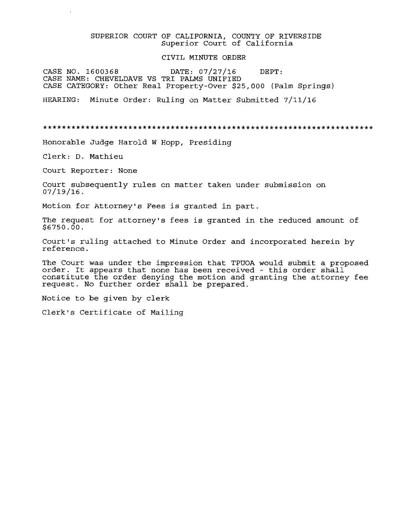## SUPERIOR COURT OF CALIFORNIA, COUNTY OF RIVERSIDE Superior Court of California

### CIVIL MINUTE ORDER

CASE NO. 1600368 DATE: 07/27/16 DEPT: CASE NAME: CHEVELDAVB VS TRI PALMS UNIFIED CASE CATEGORY: Other Real Property-Over \$25,000 (Palm Springs)

Minute Order: Ruling on Matter Submitted 7/11/16 HEARING:

\*\*\*\*\*\*\*\*\*\*\*\*\*\*\*\*\*\*\*\*\*\*\*\*\*\*\*\*\*\*\*\*\*\*\*\*\*\*\*\*\*\*\*\*\*\*\*\*\*\*\*\*\*\*\*\*\*\*\*\*\*\*\*\*\*\*\*\*\*\*

Honorable Judge Harold <sup>W</sup> Hopp, Presiding

Clerk: D. Mathieu

Court Reporter: None

Court subsequently rules on matter taken under submission on 07/19/16.

Motion for Attorney's Fees is granted in part.

The request for attorney's fees is granted in the reduced amount of  $$6750.00.$ 

Court's ruling attached to Minute Order and incorporated herein by reference.

The Court was under the impression that TPUOA would submit a proposed order. It appears that none has been received - this order shall constitute the order denying the motion and granting the attorney fee request. No further order shall be prepared.

Notice to be given by clerk

Clerk's Certificate of Mailing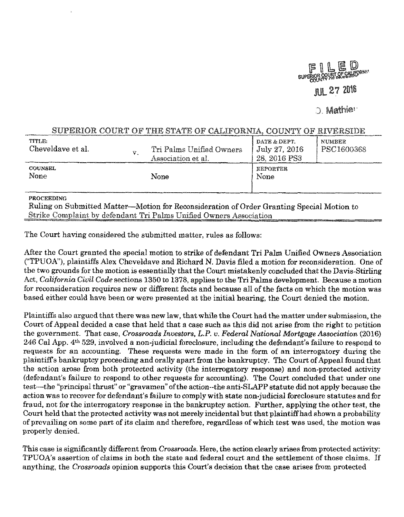

**D. Mathier** 

# SUPERIOR COURT OF THE STATE OF CALIFORNIA, COUNTY OF RIVERSIDE

| TITLE.<br>Cheveldave et al. | $\mathbf{v}_\mathrm{c}$ | Tri Palms Unified Owners<br>Association et al. | DATE & DEPT.<br>July 27, 2016<br>28, 2016 PS3 | <b>NUMBER</b><br>PSC1600368 |
|-----------------------------|-------------------------|------------------------------------------------|-----------------------------------------------|-----------------------------|
| <b>COUNSEL</b><br>None      |                         | None                                           | <b>REPORTER</b><br>None                       |                             |

## PROCEEDING

Ruling on Submitted Matter—Motion for Reconsideration of Order Granting Special Motion to Strike Complaint by defendant Tri Palms Unified Owners Association

The Court having considered the submitted matter, rules as follows:

After the Court granted the special motion to strike of defendant Tri Palm Unified Owners Association ("TPUOA"), plaintifis Alex Cheveldave and Richard N. Davis filed a motion for reconsideration. One of the two grounds for the motion is essentially that the Court mistakenly concluded that the Davis-Stirling Act, *California Civil Code* sections 1350 to 1378, appliesto the Tri Palms development. Because a motion for reconsideration requires new or different facts and because all of the facts on which the motion was based either could have been or were presented at the initial hearing, the Court denied the motion.

Plaintiffs also argued that there was new law, that while the Court had the matter under submission, the Court of Appeal decided a case that held that a case such as this did not arise from the right to petition the government. That case. *Crossroads Investors, L.P.* u. *Federal National Mortgage Association* (2016) 246 Cal App. 4<sup>th</sup> 529, involved a non-judicial foreclosure, including the defendant's failure to respond to requests for an accounting. These requests were made in the form of am interrogatory during the plaintiff's bankruptcy proceeding and orally apart from the bankruptcy. The Court of Appeal found that the action arose from both protected activity (the interrogatory response) and non-protected activity (defendant's failure to respond to other requests for accounting). The Court concluded that under one test—the "principal thrust" or "gravamen" ofthe action-the anti-SLAPP statute did not apply because the action wasto recover for defendant's failure to complywith state non-judicial foreclosure statutes and for fraud, not for the interrogatory response in the bankruptcy action. Further, applying the other test, the Court held that the protected activity was not merely incidental but that plaintiff had shown a probability of prevailing on some part of its claim and therefore, regardless of which test was used, the motion was properly denied.

This case is significantly different from *Crossroads*. Here, the action clearly arises from protected activity: TPUOA's assertion of claims in both the state and federal court and the settlement ofthose claims. If anything, the *Crossroads* opinion supports this Court's decision that the case arises from protected